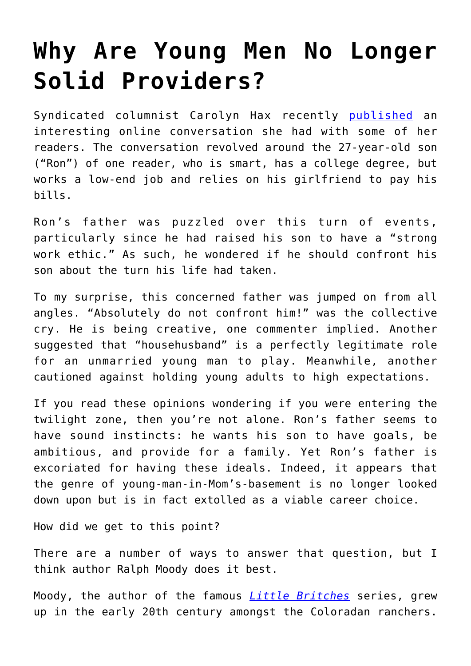## **[Why Are Young Men No Longer](https://intellectualtakeout.org/2019/02/why-are-young-men-no-longer-solid-providers/) [Solid Providers?](https://intellectualtakeout.org/2019/02/why-are-young-men-no-longer-solid-providers/)**

Syndicated columnist Carolyn Hax recently [published](https://www.seattletimes.com/life/should-father-talk-to-his-son-about-his-weak-work-ethic/) an interesting online conversation she had with some of her readers. The conversation revolved around the 27-year-old son ("Ron") of one reader, who is smart, has a college degree, but works a low-end job and relies on his girlfriend to pay his bills.

Ron's father was puzzled over this turn of events, particularly since he had raised his son to have a "strong work ethic." As such, he wondered if he should confront his son about the turn his life had taken.

To my surprise, this concerned father was jumped on from all angles. "Absolutely do not confront him!" was the collective cry. He is being creative, one commenter implied. Another suggested that "househusband" is a perfectly legitimate role for an unmarried young man to play. Meanwhile, another cautioned against holding young adults to high expectations.

If you read these opinions wondering if you were entering the twilight zone, then you're not alone. Ron's father seems to have sound instincts: he wants his son to have goals, be ambitious, and provide for a family. Yet Ron's father is excoriated for having these ideals. Indeed, it appears that the genre of young-man-in-Mom's-basement is no longer looked down upon but is in fact extolled as a viable career choice.

How did we get to this point?

There are a number of ways to answer that question, but I think author Ralph Moody does it best.

Moody, the author of the famous *[Little Britches](https://www.amazon.com/gp/product/1930900961/ref=as_li_qf_asin_il_tl?ie=UTF8&tag=intelltakeo0d-20&creative=9325&linkCode=as2&creativeASIN=1930900961&linkId=383933e695b62c77073e1d1915e7eeb2)* series, grew up in the early 20th century amongst the Coloradan ranchers.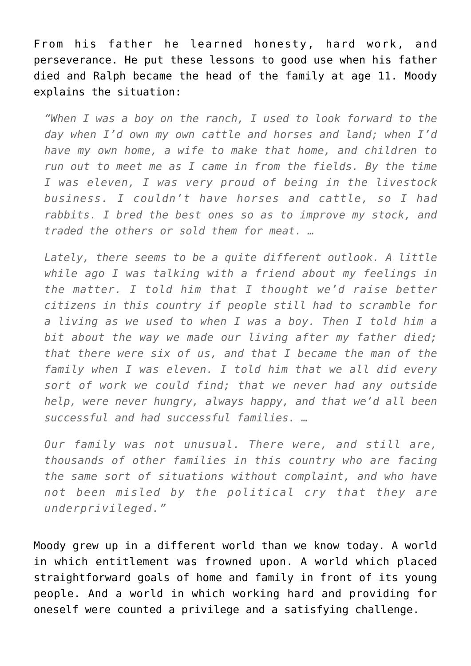From his father he learned honesty, hard work, and perseverance. He put these lessons to good use when his father died and Ralph became the head of the family at age 11. Moody explains the situation:

*"When I was a boy on the ranch, I used to look forward to the day when I'd own my own cattle and horses and land; when I'd have my own home, a wife to make that home, and children to run out to meet me as I came in from the fields. By the time I was eleven, I was very proud of being in the livestock business. I couldn't have horses and cattle, so I had rabbits. I bred the best ones so as to improve my stock, and traded the others or sold them for meat. …*

*Lately, there seems to be a quite different outlook. A little while ago I was talking with a friend about my feelings in the matter. I told him that I thought we'd raise better citizens in this country if people still had to scramble for a living as we used to when I was a boy. Then I told him a bit about the way we made our living after my father died; that there were six of us, and that I became the man of the family when I was eleven. I told him that we all did every sort of work we could find; that we never had any outside help, were never hungry, always happy, and that we'd all been successful and had successful families. …*

*Our family was not unusual. There were, and still are, thousands of other families in this country who are facing the same sort of situations without complaint, and who have not been misled by the political cry that they are underprivileged."*

Moody grew up in a different world than we know today. A world in which entitlement was frowned upon. A world which placed straightforward goals of home and family in front of its young people. And a world in which working hard and providing for oneself were counted a privilege and a satisfying challenge.